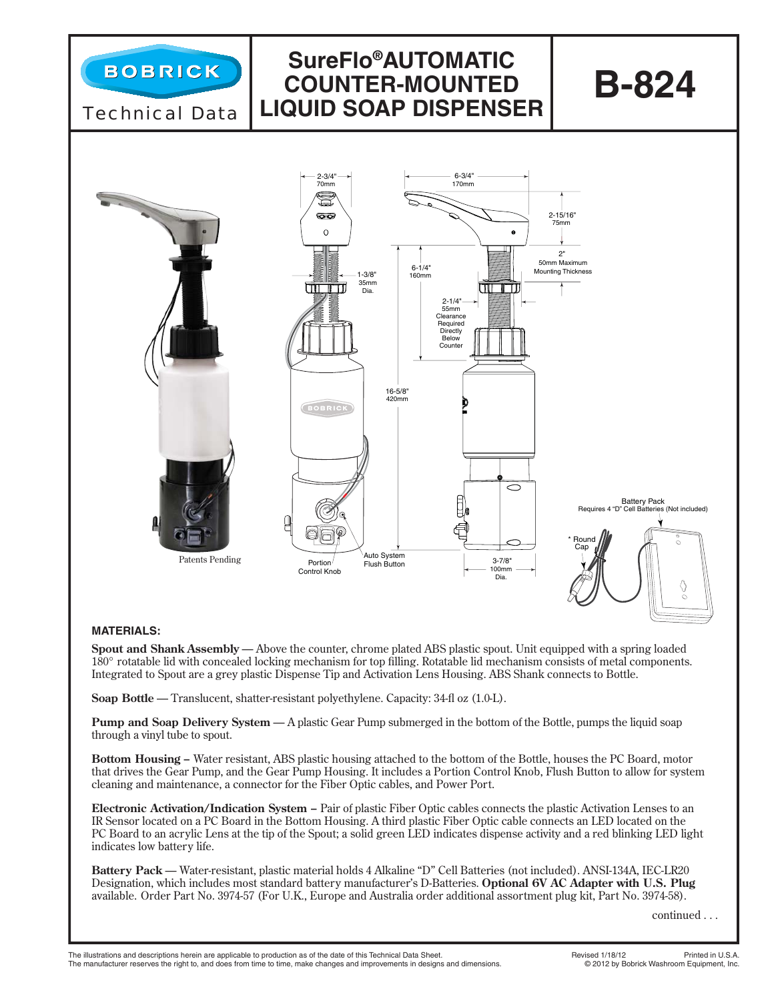

## **MATERIALS:**

**Spout and Shank Assembly** — Above the counter, chrome plated ABS plastic spout. Unit equipped with a spring loaded 180° rotatable lid with concealed locking mechanism for top filling. Rotatable lid mechanism consists of metal components. Integrated to Spout are a grey plastic Dispense Tip and Activation Lens Housing. ABS Shank connects to Bottle.

**Soap Bottle** — Translucent, shatter-resistant polyethylene. Capacity: 34-fl oz (1.0-L).

**Pump and Soap Delivery System** — A plastic Gear Pump submerged in the bottom of the Bottle, pumps the liquid soap through a vinyl tube to spout.

**Bottom Housing –** Water resistant, ABS plastic housing attached to the bottom of the Bottle, houses the PC Board, motor that drives the Gear Pump, and the Gear Pump Housing. It includes a Portion Control Knob, Flush Button to allow for system cleaning and maintenance, a connector for the Fiber Optic cables, and Power Port.

**Electronic Activation/Indication System –** Pair of plastic Fiber Optic cables connects the plastic Activation Lenses to an IR Sensor located on a PC Board in the Bottom Housing. A third plastic Fiber Optic cable connects an LED located on the PC Board to an acrylic Lens at the tip of the Spout; a solid green LED indicates dispense activity and a red blinking LED light indicates low battery life.

**Battery Pack** — Water-resistant, plastic material holds 4 Alkaline "D" Cell Batteries (not included). ANSI-134A, IEC-LR20 Designation, which includes most standard battery manufacturer's D-Batteries. **Optional 6V AC Adapter with U.S. Plug** available. Order Part No. 3974-57 (For U.K., Europe and Australia order additional assortment plug kit, Part No. 3974-58).

continued . . .